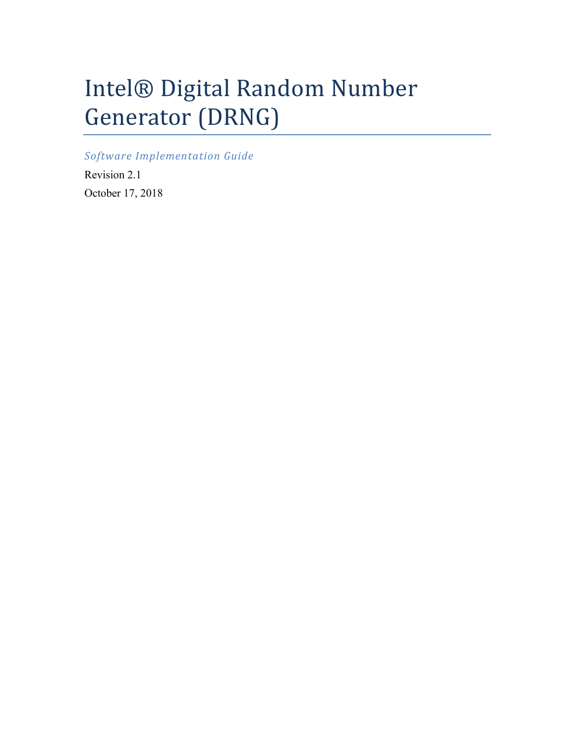# Intel® Digital Random Number Generator (DRNG)

*Software Implementation Guide*

Revision 2.1 October 17, 2018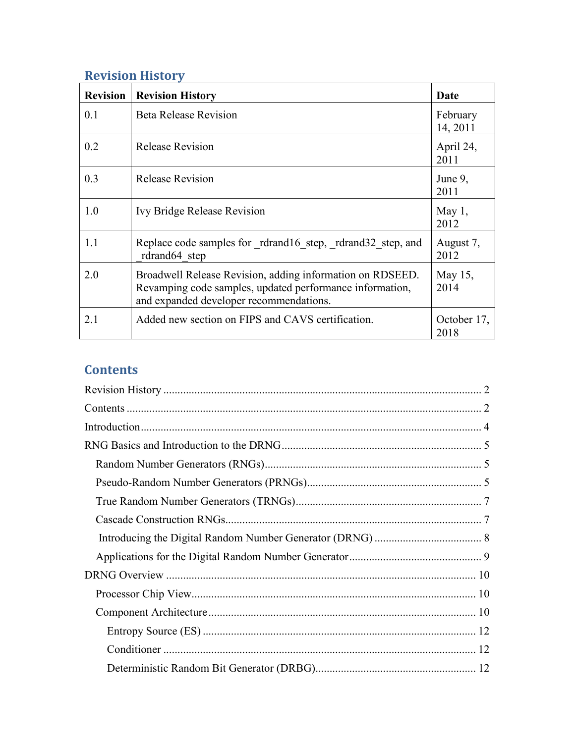# <span id="page-1-0"></span>**Revision History**

| <b>Revision</b> | <b>Revision History</b>                                                                                                                                          | Date                 |
|-----------------|------------------------------------------------------------------------------------------------------------------------------------------------------------------|----------------------|
| 0.1             | <b>Beta Release Revision</b>                                                                                                                                     | February<br>14, 2011 |
| 0.2             | <b>Release Revision</b>                                                                                                                                          | April 24,<br>2011    |
| 0.3             | <b>Release Revision</b>                                                                                                                                          | June 9,<br>2011      |
| 1.0             | Ivy Bridge Release Revision                                                                                                                                      | May $1,$<br>2012     |
| 1.1             | Replace code samples for rdrand16 step, rdrand32 step, and<br>rdrand64 step                                                                                      | August 7,<br>2012    |
| 2.0             | Broadwell Release Revision, adding information on RDSEED.<br>Revamping code samples, updated performance information,<br>and expanded developer recommendations. | May 15,<br>2014      |
| 2.1             | Added new section on FIPS and CAVS certification.                                                                                                                | October 17,<br>2018  |

# <span id="page-1-1"></span>**Contents**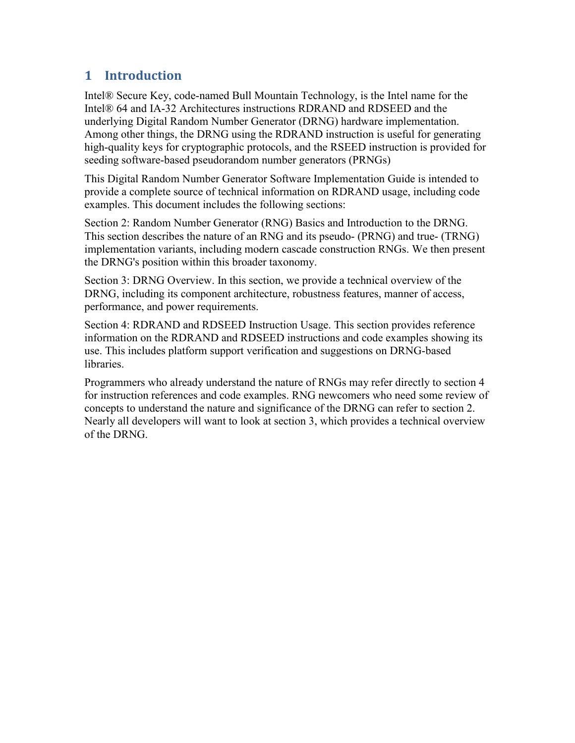## <span id="page-3-0"></span>**1 Introduction**

Intel® Secure Key, code-named Bull Mountain Technology, is the Intel name for the Intel® 64 and IA-32 Architectures instructions RDRAND and RDSEED and the underlying Digital Random Number Generator (DRNG) hardware implementation. Among other things, the DRNG using the RDRAND instruction is useful for generating high-quality keys for cryptographic protocols, and the RSEED instruction is provided for seeding software-based pseudorandom number generators (PRNGs)

This Digital Random Number Generator Software Implementation Guide is intended to provide a complete source of technical information on RDRAND usage, including code examples. This document includes the following sections:

Section 2: Random Number Generator (RNG) Basics and Introduction to the DRNG. This section describes the nature of an RNG and its pseudo- (PRNG) and true- (TRNG) implementation variants, including modern cascade construction RNGs. We then present the DRNG's position within this broader taxonomy.

Section 3: DRNG Overview. In this section, we provide a technical overview of the DRNG, including its component architecture, robustness features, manner of access, performance, and power requirements.

Section 4: RDRAND and RDSEED Instruction Usage. This section provides reference information on the RDRAND and RDSEED instructions and code examples showing its use. This includes platform support verification and suggestions on DRNG-based libraries.

Programmers who already understand the nature of RNGs may refer directly to section 4 for instruction references and code examples. RNG newcomers who need some review of concepts to understand the nature and significance of the DRNG can refer to section 2. Nearly all developers will want to look at section 3, which provides a technical overview of the DRNG.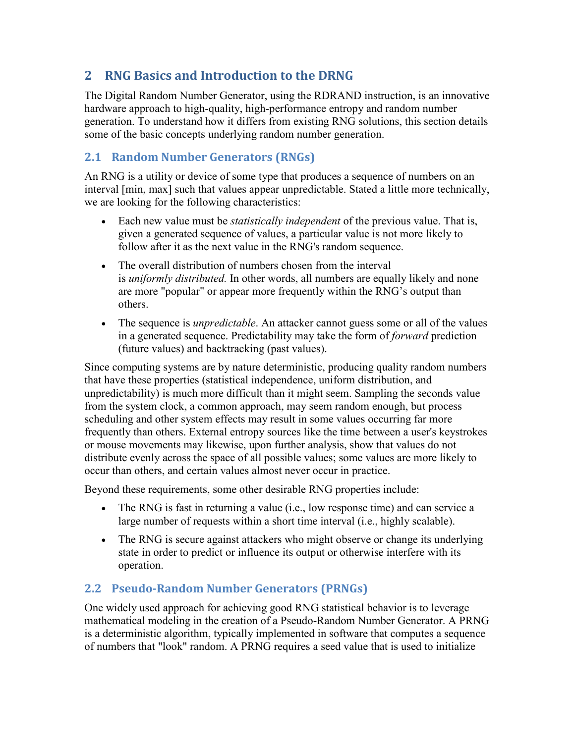## <span id="page-4-0"></span>**2 RNG Basics and Introduction to the DRNG**

The Digital Random Number Generator, using the RDRAND instruction, is an innovative hardware approach to high-quality, high-performance entropy and random number generation. To understand how it differs from existing RNG solutions, this section details some of the basic concepts underlying random number generation.

## <span id="page-4-1"></span>**2.1 Random Number Generators (RNGs)**

An RNG is a utility or device of some type that produces a sequence of numbers on an interval [min, max] such that values appear unpredictable. Stated a little more technically, we are looking for the following characteristics:

- Each new value must be *statistically independent* of the previous value. That is, given a generated sequence of values, a particular value is not more likely to follow after it as the next value in the RNG's random sequence.
- The overall distribution of numbers chosen from the interval is *uniformly distributed.* In other words, all numbers are equally likely and none are more "popular" or appear more frequently within the RNG's output than others.
- The sequence is *unpredictable*. An attacker cannot guess some or all of the values in a generated sequence. Predictability may take the form of *forward* prediction (future values) and backtracking (past values).

Since computing systems are by nature deterministic, producing quality random numbers that have these properties (statistical independence, uniform distribution, and unpredictability) is much more difficult than it might seem. Sampling the seconds value from the system clock, a common approach, may seem random enough, but process scheduling and other system effects may result in some values occurring far more frequently than others. External entropy sources like the time between a user's keystrokes or mouse movements may likewise, upon further analysis, show that values do not distribute evenly across the space of all possible values; some values are more likely to occur than others, and certain values almost never occur in practice.

Beyond these requirements, some other desirable RNG properties include:

- The RNG is fast in returning a value (i.e., low response time) and can service a large number of requests within a short time interval (i.e., highly scalable).
- The RNG is secure against attackers who might observe or change its underlying state in order to predict or influence its output or otherwise interfere with its operation.

## <span id="page-4-2"></span>**2.2 Pseudo-Random Number Generators (PRNGs)**

One widely used approach for achieving good RNG statistical behavior is to leverage mathematical modeling in the creation of a Pseudo-Random Number Generator. A PRNG is a deterministic algorithm, typically implemented in software that computes a sequence of numbers that "look" random. A PRNG requires a seed value that is used to initialize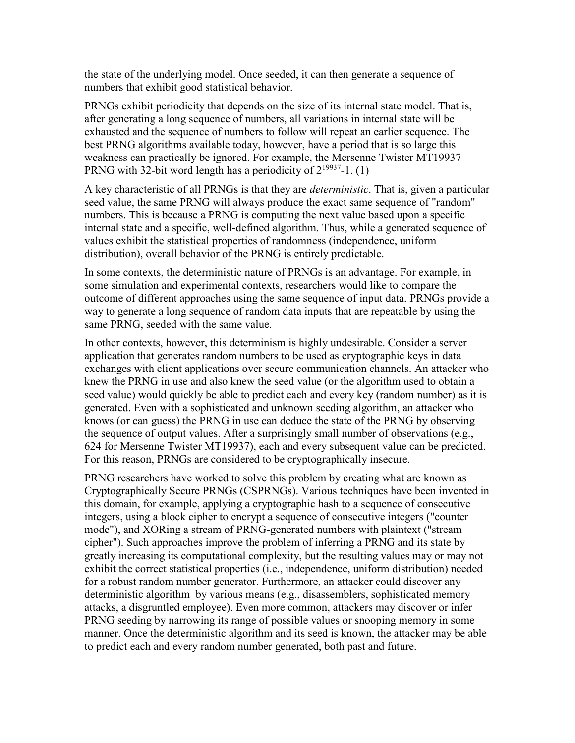the state of the underlying model. Once seeded, it can then generate a sequence of numbers that exhibit good statistical behavior.

PRNGs exhibit periodicity that depends on the size of its internal state model. That is, after generating a long sequence of numbers, all variations in internal state will be exhausted and the sequence of numbers to follow will repeat an earlier sequence. The best PRNG algorithms available today, however, have a period that is so large this weakness can practically be ignored. For example, the Mersenne Twister MT19937 PRNG with 32-bit word length has a periodicity of  $2^{19937}$ -1. (1)

A key characteristic of all PRNGs is that they are *deterministic*. That is, given a particular seed value, the same PRNG will always produce the exact same sequence of "random" numbers. This is because a PRNG is computing the next value based upon a specific internal state and a specific, well-defined algorithm. Thus, while a generated sequence of values exhibit the statistical properties of randomness (independence, uniform distribution), overall behavior of the PRNG is entirely predictable.

In some contexts, the deterministic nature of PRNGs is an advantage. For example, in some simulation and experimental contexts, researchers would like to compare the outcome of different approaches using the same sequence of input data. PRNGs provide a way to generate a long sequence of random data inputs that are repeatable by using the same PRNG, seeded with the same value.

In other contexts, however, this determinism is highly undesirable. Consider a server application that generates random numbers to be used as cryptographic keys in data exchanges with client applications over secure communication channels. An attacker who knew the PRNG in use and also knew the seed value (or the algorithm used to obtain a seed value) would quickly be able to predict each and every key (random number) as it is generated. Even with a sophisticated and unknown seeding algorithm, an attacker who knows (or can guess) the PRNG in use can deduce the state of the PRNG by observing the sequence of output values. After a surprisingly small number of observations (e.g., 624 for Mersenne Twister MT19937), each and every subsequent value can be predicted. For this reason, PRNGs are considered to be cryptographically insecure.

PRNG researchers have worked to solve this problem by creating what are known as Cryptographically Secure PRNGs (CSPRNGs). Various techniques have been invented in this domain, for example, applying a cryptographic hash to a sequence of consecutive integers, using a block cipher to encrypt a sequence of consecutive integers ("counter mode"), and XORing a stream of PRNG-generated numbers with plaintext ("stream cipher"). Such approaches improve the problem of inferring a PRNG and its state by greatly increasing its computational complexity, but the resulting values may or may not exhibit the correct statistical properties (i.e., independence, uniform distribution) needed for a robust random number generator. Furthermore, an attacker could discover any deterministic algorithm by various means (e.g., disassemblers, sophisticated memory attacks, a disgruntled employee). Even more common, attackers may discover or infer PRNG seeding by narrowing its range of possible values or snooping memory in some manner. Once the deterministic algorithm and its seed is known, the attacker may be able to predict each and every random number generated, both past and future.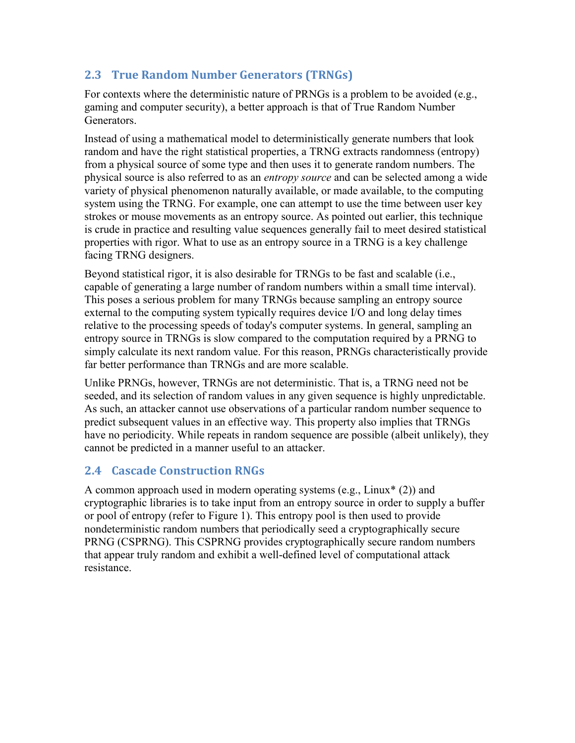## <span id="page-6-0"></span>**2.3 True Random Number Generators (TRNGs)**

For contexts where the deterministic nature of PRNGs is a problem to be avoided (e.g., gaming and computer security), a better approach is that of True Random Number Generators.

Instead of using a mathematical model to deterministically generate numbers that look random and have the right statistical properties, a TRNG extracts randomness (entropy) from a physical source of some type and then uses it to generate random numbers. The physical source is also referred to as an *entropy source* and can be selected among a wide variety of physical phenomenon naturally available, or made available, to the computing system using the TRNG. For example, one can attempt to use the time between user key strokes or mouse movements as an entropy source. As pointed out earlier, this technique is crude in practice and resulting value sequences generally fail to meet desired statistical properties with rigor. What to use as an entropy source in a TRNG is a key challenge facing TRNG designers.

Beyond statistical rigor, it is also desirable for TRNGs to be fast and scalable (i.e., capable of generating a large number of random numbers within a small time interval). This poses a serious problem for many TRNGs because sampling an entropy source external to the computing system typically requires device I/O and long delay times relative to the processing speeds of today's computer systems. In general, sampling an entropy source in TRNGs is slow compared to the computation required by a PRNG to simply calculate its next random value. For this reason, PRNGs characteristically provide far better performance than TRNGs and are more scalable.

Unlike PRNGs, however, TRNGs are not deterministic. That is, a TRNG need not be seeded, and its selection of random values in any given sequence is highly unpredictable. As such, an attacker cannot use observations of a particular random number sequence to predict subsequent values in an effective way. This property also implies that TRNGs have no periodicity. While repeats in random sequence are possible (albeit unlikely), they cannot be predicted in a manner useful to an attacker.

## <span id="page-6-1"></span>**2.4 Cascade Construction RNGs**

A common approach used in modern operating systems (e.g., Linux\* (2)) and cryptographic libraries is to take input from an entropy source in order to supply a buffer or pool of entropy (refer to Figure 1). This entropy pool is then used to provide nondeterministic random numbers that periodically seed a cryptographically secure PRNG (CSPRNG). This CSPRNG provides cryptographically secure random numbers that appear truly random and exhibit a well-defined level of computational attack resistance.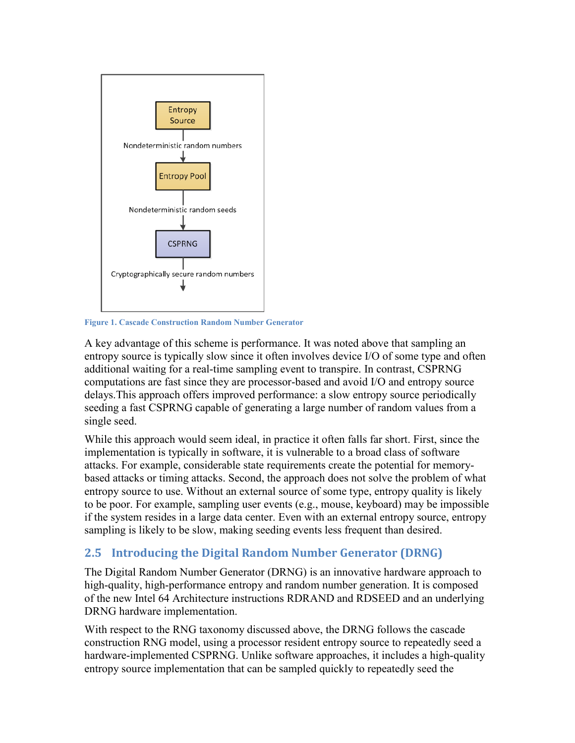

**Figure 1. Cascade Construction Random Number Generator**

A key advantage of this scheme is performance. It was noted above that sampling an entropy source is typically slow since it often involves device I/O of some type and often additional waiting for a real-time sampling event to transpire. In contrast, CSPRNG computations are fast since they are processor-based and avoid I/O and entropy source delays.This approach offers improved performance: a slow entropy source periodically seeding a fast CSPRNG capable of generating a large number of random values from a single seed.

While this approach would seem ideal, in practice it often falls far short. First, since the implementation is typically in software, it is vulnerable to a broad class of software attacks. For example, considerable state requirements create the potential for memorybased attacks or timing attacks. Second, the approach does not solve the problem of what entropy source to use. Without an external source of some type, entropy quality is likely to be poor. For example, sampling user events (e.g., mouse, keyboard) may be impossible if the system resides in a large data center. Even with an external entropy source, entropy sampling is likely to be slow, making seeding events less frequent than desired.

## <span id="page-7-0"></span>**2.5 Introducing the Digital Random Number Generator (DRNG)**

The Digital Random Number Generator (DRNG) is an innovative hardware approach to high-quality, high-performance entropy and random number generation. It is composed of the new Intel 64 Architecture instructions RDRAND and RDSEED and an underlying DRNG hardware implementation.

With respect to the RNG taxonomy discussed above, the DRNG follows the cascade construction RNG model, using a processor resident entropy source to repeatedly seed a hardware-implemented CSPRNG. Unlike software approaches, it includes a high-quality entropy source implementation that can be sampled quickly to repeatedly seed the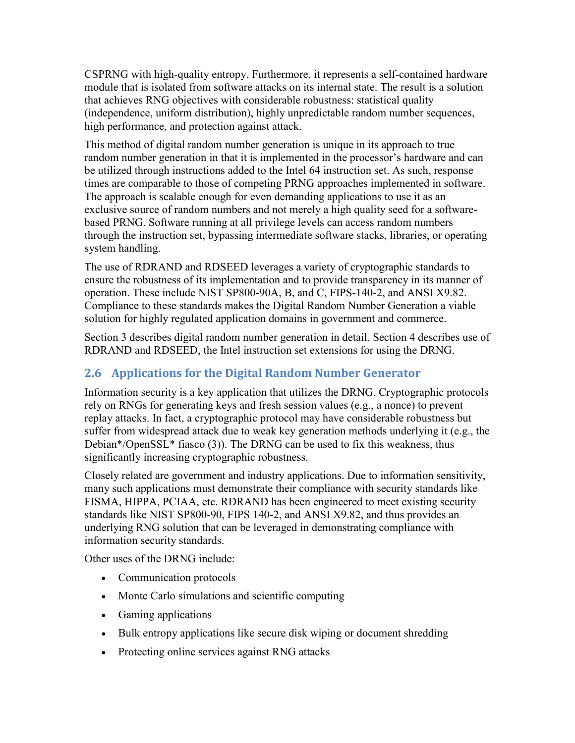CSPRNG with high-quality entropy. Furthermore, it represents a self-contained hardware module that is isolated from software attacks on its internal state. The result is a solution that achieves RNG objectives with considerable robustness: statistical quality (independence, uniform distribution), highly unpredictable random number sequences, high performance, and protection against attack.

This method of digital random number generation is unique in its approach to true random number generation in that it is implemented in the processor's hardware and can be utilized through instructions added to the Intel 64 instruction set. As such, response times are comparable to those of competing PRNG approaches implemented in software. The approach is scalable enough for even demanding applications to use it as an exclusive source of random numbers and not merely a high quality seed for a softwarebased PRNG. Software running at all privilege levels can access random numbers through the instruction set, bypassing intermediate software stacks, libraries, or operating system handling.

The use of RDRAND and RDSEED leverages a variety of cryptographic standards to ensure the robustness of its implementation and to provide transparency in its manner of operation. These include NIST SP800-90A, B, and C, FIPS-140-2, and ANSI X9.82. Compliance to these standards makes the Digital Random Number Generation a viable solution for highly regulated application domains in government and commerce.

Section 3 describes digital random number generation in detail. Section 4 describes use of RDRAND and RDSEED, the Intel instruction set extensions for using the DRNG.

#### <span id="page-8-0"></span>**2.6 Applications for the Digital Random Number Generator**

Information security is a key application that utilizes the DRNG. Cryptographic protocols rely on RNGs for generating keys and fresh session values (e.g., a nonce) to prevent replay attacks. In fact, a cryptographic protocol may have considerable robustness but suffer from widespread attack due to weak key generation methods underlying it (e.g., the Debian\*/OpenSSL\* fiasco (3)). The DRNG can be used to fix this weakness, thus significantly increasing cryptographic robustness.

Closely related are government and industry applications. Due to information sensitivity, many such applications must demonstrate their compliance with security standards like FISMA, HIPPA, PCIAA, etc. RDRAND has been engineered to meet existing security standards like NIST SP800-90, FIPS 140-2, and ANSI X9.82, and thus provides an underlying RNG solution that can be leveraged in demonstrating compliance with information security standards.

Other uses of the DRNG include:

- Communication protocols
- Monte Carlo simulations and scientific computing
- Gaming applications
- Bulk entropy applications like secure disk wiping or document shredding
- Protecting online services against RNG attacks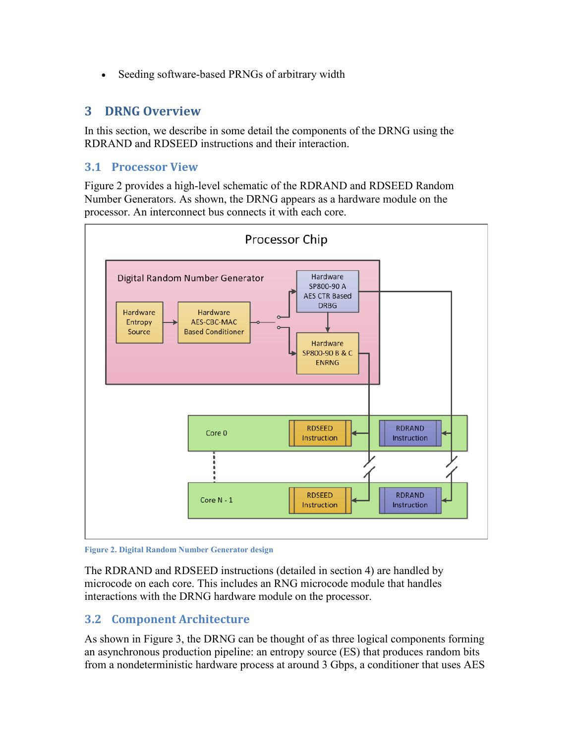<span id="page-9-0"></span>• Seeding software-based PRNGs of arbitrary width

#### **3 DRNG Overview**

In this section, we describe in some detail the components of the DRNG using the RDRAND and RDSEED instructions and their interaction.

#### <span id="page-9-1"></span>**3.1 Processor View**

Figure 2 provides a high-level schematic of the RDRAND and RDSEED Random Number Generators. As shown, the DRNG appears as a hardware module on the processor. An interconnect bus connects it with each core.



**Figure 2. Digital Random Number Generator design**

The RDRAND and RDSEED instructions (detailed in section 4) are handled by microcode on each core. This includes an RNG microcode module that handles interactions with the DRNG hardware module on the processor.

#### <span id="page-9-2"></span>**3.2 Component Architecture**

As shown in Figure 3, the DRNG can be thought of as three logical components forming an asynchronous production pipeline: an entropy source (ES) that produces random bits from a nondeterministic hardware process at around 3 Gbps, a conditioner that uses AES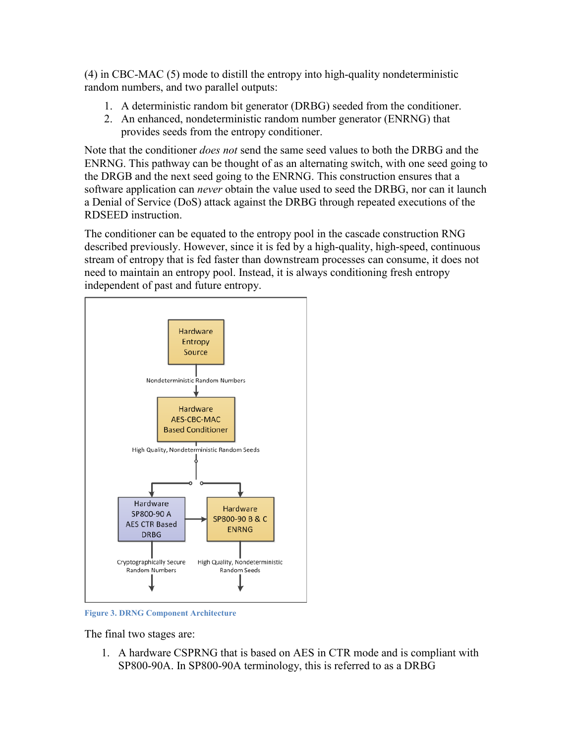(4) in CBC-MAC (5) mode to distill the entropy into high-quality nondeterministic random numbers, and two parallel outputs:

- 1. A deterministic random bit generator (DRBG) seeded from the conditioner.
- 2. An enhanced, nondeterministic random number generator (ENRNG) that provides seeds from the entropy conditioner.

Note that the conditioner *does not* send the same seed values to both the DRBG and the ENRNG. This pathway can be thought of as an alternating switch, with one seed going to the DRGB and the next seed going to the ENRNG. This construction ensures that a software application can *never* obtain the value used to seed the DRBG, nor can it launch a Denial of Service (DoS) attack against the DRBG through repeated executions of the RDSEED instruction.

The conditioner can be equated to the entropy pool in the cascade construction RNG described previously. However, since it is fed by a high-quality, high-speed, continuous stream of entropy that is fed faster than downstream processes can consume, it does not need to maintain an entropy pool. Instead, it is always conditioning fresh entropy independent of past and future entropy.



**Figure 3. DRNG Component Architecture**

The final two stages are:

1. A hardware CSPRNG that is based on AES in CTR mode and is compliant with SP800-90A. In SP800-90A terminology, this is referred to as a DRBG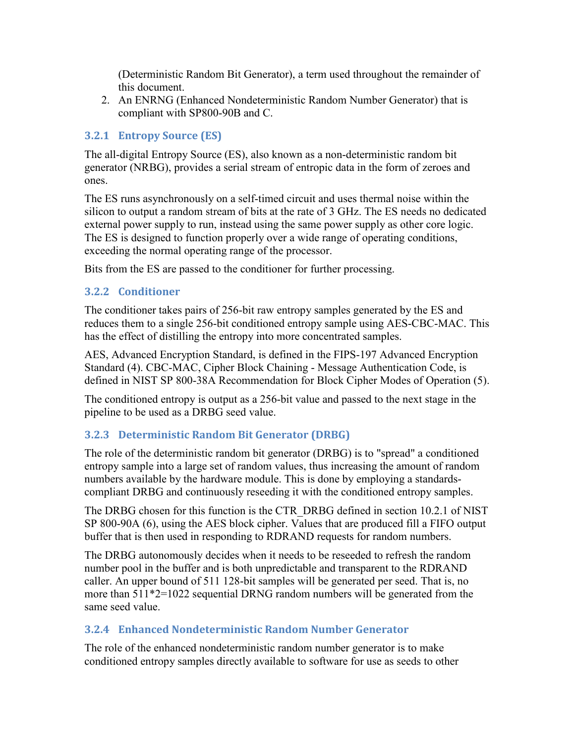(Deterministic Random Bit Generator), a term used throughout the remainder of this document.

2. An ENRNG (Enhanced Nondeterministic Random Number Generator) that is compliant with SP800-90B and C.

#### <span id="page-11-0"></span>**3.2.1 Entropy Source (ES)**

The all-digital Entropy Source (ES), also known as a non-deterministic random bit generator (NRBG), provides a serial stream of entropic data in the form of zeroes and ones.

The ES runs asynchronously on a self-timed circuit and uses thermal noise within the silicon to output a random stream of bits at the rate of 3 GHz. The ES needs no dedicated external power supply to run, instead using the same power supply as other core logic. The ES is designed to function properly over a wide range of operating conditions, exceeding the normal operating range of the processor.

Bits from the ES are passed to the conditioner for further processing.

#### <span id="page-11-1"></span>**3.2.2 Conditioner**

The conditioner takes pairs of 256-bit raw entropy samples generated by the ES and reduces them to a single 256-bit conditioned entropy sample using AES-CBC-MAC. This has the effect of distilling the entropy into more concentrated samples.

AES, Advanced Encryption Standard, is defined in the FIPS-197 Advanced Encryption Standard (4). CBC-MAC, Cipher Block Chaining - Message Authentication Code, is defined in NIST SP 800-38A Recommendation for Block Cipher Modes of Operation (5).

The conditioned entropy is output as a 256-bit value and passed to the next stage in the pipeline to be used as a DRBG seed value.

#### <span id="page-11-2"></span>**3.2.3 Deterministic Random Bit Generator (DRBG)**

The role of the deterministic random bit generator (DRBG) is to "spread" a conditioned entropy sample into a large set of random values, thus increasing the amount of random numbers available by the hardware module. This is done by employing a standardscompliant DRBG and continuously reseeding it with the conditioned entropy samples.

The DRBG chosen for this function is the CTR\_DRBG defined in section 10.2.1 of NIST SP 800-90A (6), using the AES block cipher. Values that are produced fill a FIFO output buffer that is then used in responding to RDRAND requests for random numbers.

The DRBG autonomously decides when it needs to be reseeded to refresh the random number pool in the buffer and is both unpredictable and transparent to the RDRAND caller. An upper bound of 511 128-bit samples will be generated per seed. That is, no more than 511\*2=1022 sequential DRNG random numbers will be generated from the same seed value.

#### <span id="page-11-3"></span>**3.2.4 Enhanced Nondeterministic Random Number Generator**

The role of the enhanced nondeterministic random number generator is to make conditioned entropy samples directly available to software for use as seeds to other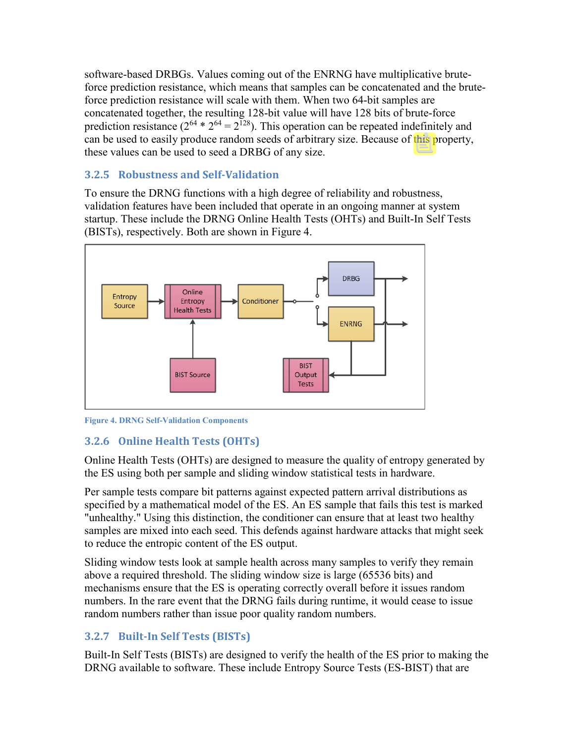software-based DRBGs. Values coming out of the ENRNG have multiplicative bruteforce prediction resistance, which means that samples can be concatenated and the bruteforce prediction resistance will scale with them. When two 64-bit samples are concatenated together, the resulting 128-bit value will have 128 bits of brute-force prediction resistance ( $2^{64} * 2^{64} = 2^{128}$ ). This operation can be repeated indefinitely and can be used to easily produce random seeds of arbitrary size. Because of this property, these values can be used to seed a DRBG of any size.

#### <span id="page-12-0"></span>**3.2.5 Robustness and Self-Validation**

To ensure the DRNG functions with a high degree of reliability and robustness, validation features have been included that operate in an ongoing manner at system startup. These include the DRNG Online Health Tests (OHTs) and Built-In Self Tests (BISTs), respectively. Both are shown in Figure 4.



**Figure 4. DRNG Self-Validation Components**

## <span id="page-12-1"></span>**3.2.6 Online Health Tests (OHTs)**

Online Health Tests (OHTs) are designed to measure the quality of entropy generated by the ES using both per sample and sliding window statistical tests in hardware.

Per sample tests compare bit patterns against expected pattern arrival distributions as specified by a mathematical model of the ES. An ES sample that fails this test is marked "unhealthy." Using this distinction, the conditioner can ensure that at least two healthy samples are mixed into each seed. This defends against hardware attacks that might seek to reduce the entropic content of the ES output.

Sliding window tests look at sample health across many samples to verify they remain above a required threshold. The sliding window size is large (65536 bits) and mechanisms ensure that the ES is operating correctly overall before it issues random numbers. In the rare event that the DRNG fails during runtime, it would cease to issue random numbers rather than issue poor quality random numbers.

## <span id="page-12-2"></span>**3.2.7 Built-In Self Tests (BISTs)**

Built-In Self Tests (BISTs) are designed to verify the health of the ES prior to making the DRNG available to software. These include Entropy Source Tests (ES-BIST) that are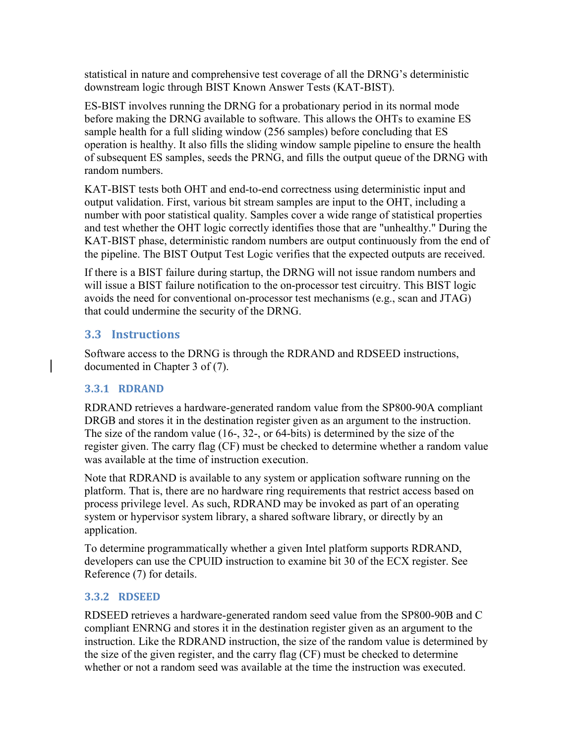statistical in nature and comprehensive test coverage of all the DRNG's deterministic downstream logic through BIST Known Answer Tests (KAT-BIST).

ES-BIST involves running the DRNG for a probationary period in its normal mode before making the DRNG available to software. This allows the OHTs to examine ES sample health for a full sliding window (256 samples) before concluding that ES operation is healthy. It also fills the sliding window sample pipeline to ensure the health of subsequent ES samples, seeds the PRNG, and fills the output queue of the DRNG with random numbers.

KAT-BIST tests both OHT and end-to-end correctness using deterministic input and output validation. First, various bit stream samples are input to the OHT, including a number with poor statistical quality. Samples cover a wide range of statistical properties and test whether the OHT logic correctly identifies those that are "unhealthy." During the KAT-BIST phase, deterministic random numbers are output continuously from the end of the pipeline. The BIST Output Test Logic verifies that the expected outputs are received.

If there is a BIST failure during startup, the DRNG will not issue random numbers and will issue a BIST failure notification to the on-processor test circuitry. This BIST logic avoids the need for conventional on-processor test mechanisms (e.g., scan and JTAG) that could undermine the security of the DRNG.

## <span id="page-13-0"></span>**3.3 Instructions**

Software access to the DRNG is through the RDRAND and RDSEED instructions, documented in Chapter 3 of (7).

#### <span id="page-13-1"></span>**3.3.1 RDRAND**

RDRAND retrieves a hardware-generated random value from the SP800-90A compliant DRGB and stores it in the destination register given as an argument to the instruction. The size of the random value (16-, 32-, or 64-bits) is determined by the size of the register given. The carry flag (CF) must be checked to determine whether a random value was available at the time of instruction execution.

Note that RDRAND is available to any system or application software running on the platform. That is, there are no hardware ring requirements that restrict access based on process privilege level. As such, RDRAND may be invoked as part of an operating system or hypervisor system library, a shared software library, or directly by an application.

To determine programmatically whether a given Intel platform supports RDRAND, developers can use the CPUID instruction to examine bit 30 of the ECX register. See Reference (7) for details.

#### <span id="page-13-2"></span>**3.3.2 RDSEED**

RDSEED retrieves a hardware-generated random seed value from the SP800-90B and C compliant ENRNG and stores it in the destination register given as an argument to the instruction. Like the RDRAND instruction, the size of the random value is determined by the size of the given register, and the carry flag (CF) must be checked to determine whether or not a random seed was available at the time the instruction was executed.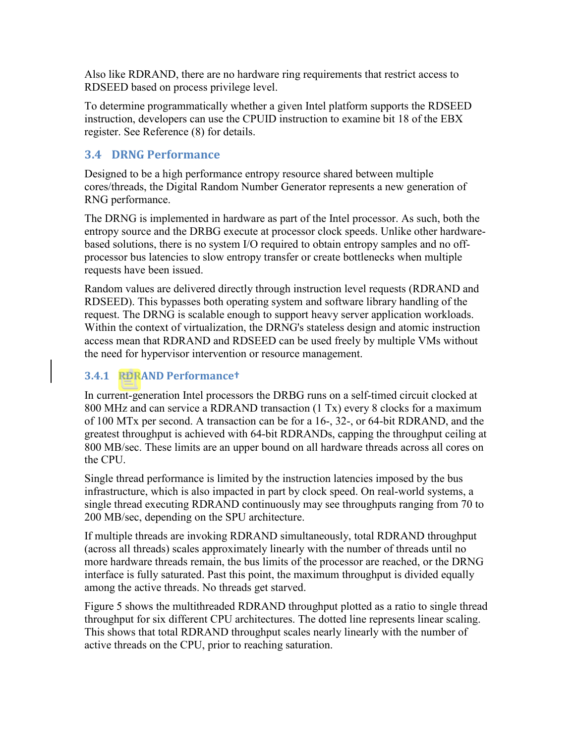Also like RDRAND, there are no hardware ring requirements that restrict access to RDSEED based on process privilege level.

To determine programmatically whether a given Intel platform supports the RDSEED instruction, developers can use the CPUID instruction to examine bit 18 of the EBX register. See Reference (8) for details.

#### <span id="page-14-0"></span>**3.4 DRNG Performance**

Designed to be a high performance entropy resource shared between multiple cores/threads, the Digital Random Number Generator represents a new generation of RNG performance.

The DRNG is implemented in hardware as part of the Intel processor. As such, both the entropy source and the DRBG execute at processor clock speeds. Unlike other hardwarebased solutions, there is no system I/O required to obtain entropy samples and no offprocessor bus latencies to slow entropy transfer or create bottlenecks when multiple requests have been issued.

Random values are delivered directly through instruction level requests (RDRAND and RDSEED). This bypasses both operating system and software library handling of the request. The DRNG is scalable enough to support heavy server application workloads. Within the context of virtualization, the DRNG's stateless design and atomic instruction access mean that RDRAND and RDSEED can be used freely by multiple VMs without the need for hypervisor intervention or resource management.

#### <span id="page-14-1"></span>**3.4.1 RDRAND Performance†**

In current-generation Intel processors the DRBG runs on a self-timed circuit clocked at 800 MHz and can service a RDRAND transaction (1 Tx) every 8 clocks for a maximum of 100 MTx per second. A transaction can be for a 16-, 32-, or 64-bit RDRAND, and the greatest throughput is achieved with 64-bit RDRANDs, capping the throughput ceiling at 800 MB/sec. These limits are an upper bound on all hardware threads across all cores on the CPU.

Single thread performance is limited by the instruction latencies imposed by the bus infrastructure, which is also impacted in part by clock speed. On real-world systems, a single thread executing RDRAND continuously may see throughputs ranging from 70 to 200 MB/sec, depending on the SPU architecture.

If multiple threads are invoking RDRAND simultaneously, total RDRAND throughput (across all threads) scales approximately linearly with the number of threads until no more hardware threads remain, the bus limits of the processor are reached, or the DRNG interface is fully saturated. Past this point, the maximum throughput is divided equally among the active threads. No threads get starved.

[Figure 5](#page-15-0) shows the multithreaded RDRAND throughput plotted as a ratio to single thread throughput for six different CPU architectures. The dotted line represents linear scaling. This shows that total RDRAND throughput scales nearly linearly with the number of active threads on the CPU, prior to reaching saturation.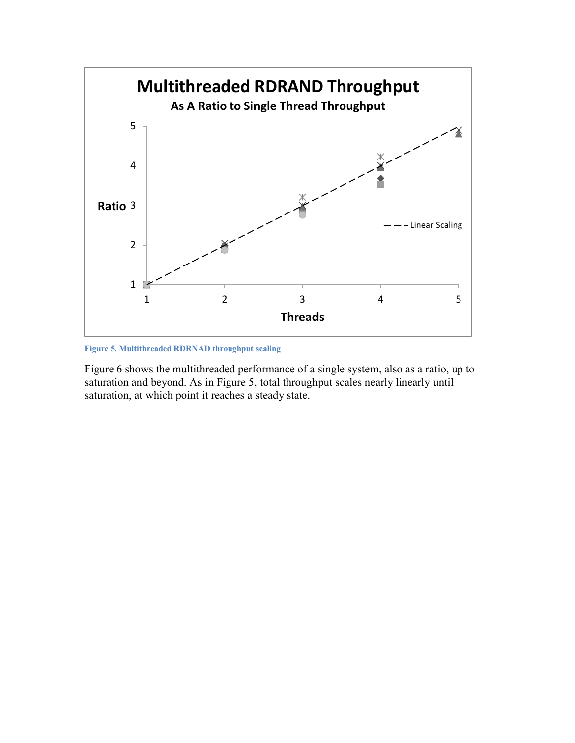

<span id="page-15-0"></span>**Figure 5. Multithreaded RDRNAD throughput scaling**

Figure 6 shows the multithreaded performance of a single system, also as a ratio, up to saturation and beyond. As in [Figure 5,](#page-15-0) total throughput scales nearly linearly until saturation, at which point it reaches a steady state.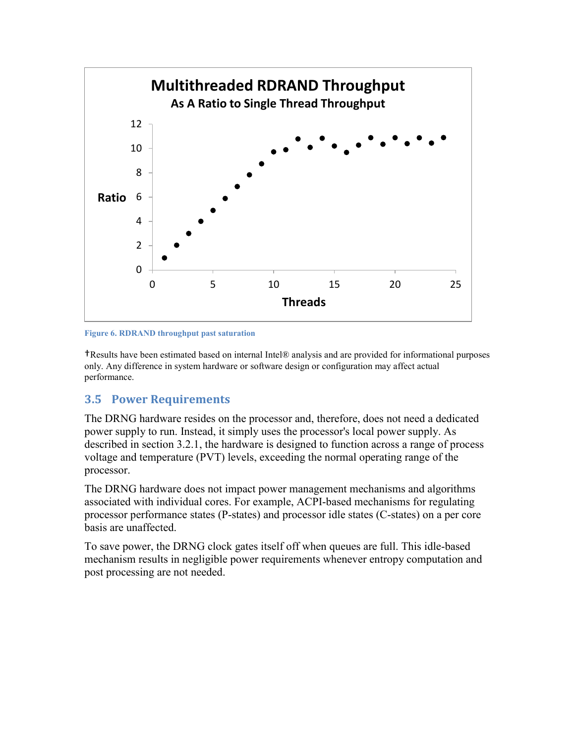



†Results have been estimated based on internal Intel® analysis and are provided for informational purposes only. Any difference in system hardware or software design or configuration may affect actual performance.

#### <span id="page-16-0"></span>**3.5 Power Requirements**

The DRNG hardware resides on the processor and, therefore, does not need a dedicated power supply to run. Instead, it simply uses the processor's local power supply. As described in section 3.2.1, the hardware is designed to function across a range of process voltage and temperature (PVT) levels, exceeding the normal operating range of the processor.

The DRNG hardware does not impact power management mechanisms and algorithms associated with individual cores. For example, ACPI-based mechanisms for regulating processor performance states (P-states) and processor idle states (C-states) on a per core basis are unaffected.

To save power, the DRNG clock gates itself off when queues are full. This idle-based mechanism results in negligible power requirements whenever entropy computation and post processing are not needed.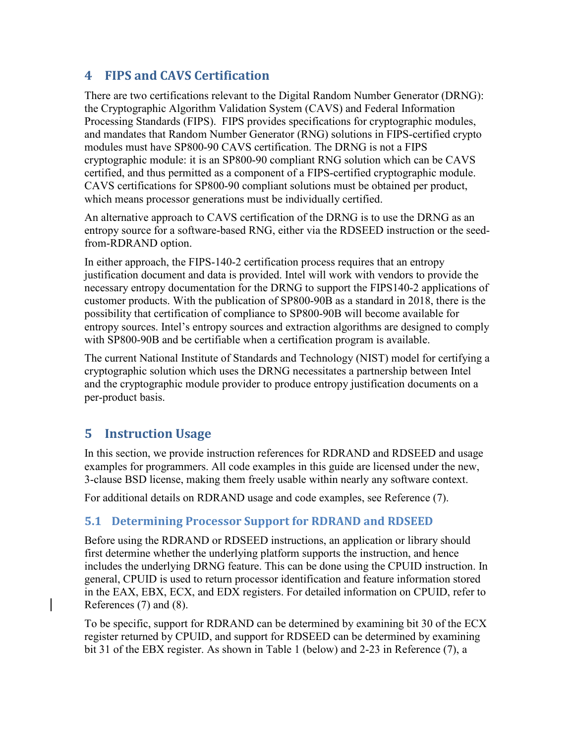## <span id="page-17-0"></span>**4 FIPS and CAVS Certification**

There are two certifications relevant to the Digital Random Number Generator (DRNG): the Cryptographic Algorithm Validation System (CAVS) and Federal Information Processing Standards (FIPS). FIPS provides specifications for cryptographic modules, and mandates that Random Number Generator (RNG) solutions in FIPS-certified crypto modules must have SP800-90 CAVS certification. The DRNG is not a FIPS cryptographic module: it is an SP800-90 compliant RNG solution which can be CAVS certified, and thus permitted as a component of a FIPS-certified cryptographic module. CAVS certifications for SP800-90 compliant solutions must be obtained per product, which means processor generations must be individually certified.

An alternative approach to CAVS certification of the DRNG is to use the DRNG as an entropy source for a software-based RNG, either via the RDSEED instruction or the seedfrom-RDRAND option.

In either approach, the FIPS-140-2 certification process requires that an entropy justification document and data is provided. Intel will work with vendors to provide the necessary entropy documentation for the DRNG to support the FIPS140-2 applications of customer products. With the publication of SP800-90B as a standard in 2018, there is the possibility that certification of compliance to SP800-90B will become available for entropy sources. Intel's entropy sources and extraction algorithms are designed to comply with SP800-90B and be certifiable when a certification program is available.

The current National Institute of Standards and Technology (NIST) model for certifying a cryptographic solution which uses the DRNG necessitates a partnership between Intel and the cryptographic module provider to produce entropy justification documents on a per-product basis.

## **5 Instruction Usage**

In this section, we provide instruction references for RDRAND and RDSEED and usage examples for programmers. All code examples in this guide are licensed under the new, 3-clause BSD license, making them freely usable within nearly any software context.

For additional details on RDRAND usage and code examples, see Reference (7).

#### <span id="page-17-1"></span>**5.1 Determining Processor Support for RDRAND and RDSEED**

Before using the RDRAND or RDSEED instructions, an application or library should first determine whether the underlying platform supports the instruction, and hence includes the underlying DRNG feature. This can be done using the CPUID instruction. In general, CPUID is used to return processor identification and feature information stored in the EAX, EBX, ECX, and EDX registers. For detailed information on CPUID, refer to References (7) and (8).

To be specific, support for RDRAND can be determined by examining bit 30 of the ECX register returned by CPUID, and support for RDSEED can be determined by examining bit 31 of the EBX register. As shown in Table 1 (below) and 2-23 in Reference (7), a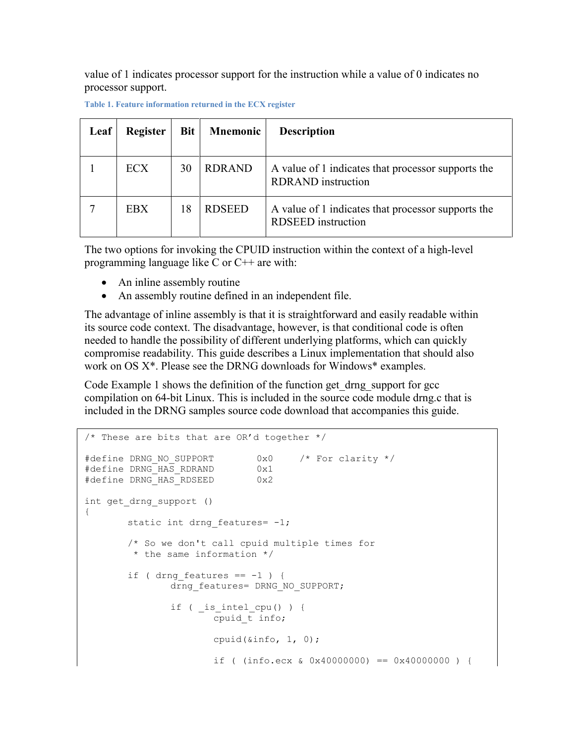value of 1 indicates processor support for the instruction while a value of 0 indicates no processor support.

| Leaf | <b>Register</b> | <b>Bit</b> | <b>Mnemonic</b> | <b>Description</b>                                                              |
|------|-----------------|------------|-----------------|---------------------------------------------------------------------------------|
|      | <b>ECX</b>      | 30         | <b>RDRAND</b>   | A value of 1 indicates that processor supports the<br><b>RDRAND</b> instruction |
|      | <b>EBX</b>      | 18         | <b>RDSEED</b>   | A value of 1 indicates that processor supports the<br><b>RDSEED</b> instruction |

**Table 1. Feature information returned in the ECX register**

The two options for invoking the CPUID instruction within the context of a high-level programming language like C or C++ are with:

- An inline assembly routine
- An assembly routine defined in an independent file.

The advantage of inline assembly is that it is straightforward and easily readable within its source code context. The disadvantage, however, is that conditional code is often needed to handle the possibility of different underlying platforms, which can quickly compromise readability. This guide describes a Linux implementation that should also work on OS X\*. Please see the DRNG downloads for Windows\* examples.

[Code Example 1](#page-18-0) shows the definition of the function get\_drng\_support for gcc compilation on 64-bit Linux. This is included in the source code module drng.c that is included in the DRNG samples source code download that accompanies this guide.

```
/* These are bits that are OR'd together */
#define DRNG_NO_SUPPORT 0x0 /* For clarity */<br>#define DRNG_HAS_RDRAND 0x1
#define DRNG_HAS_RDRAND 0x1<br>#define DRNG_HAS_RDSEED 0x2
#define DRNG HAS RDSEED
int get_drng_support ()
{
        static int drng features= -1;
        /* So we don't call cpuid multiple times for 
         * the same information */
        if ( drng features == -1 ) {
                drng_features= DRNG_NO_SUPPORT;
                if ( is intel cpu() ) {
                        cpuid_t info;
                         cpuid(&info, 1, 0);
                         if ( (info.ecx & 0x40000000) == 0x40000000 ) {
```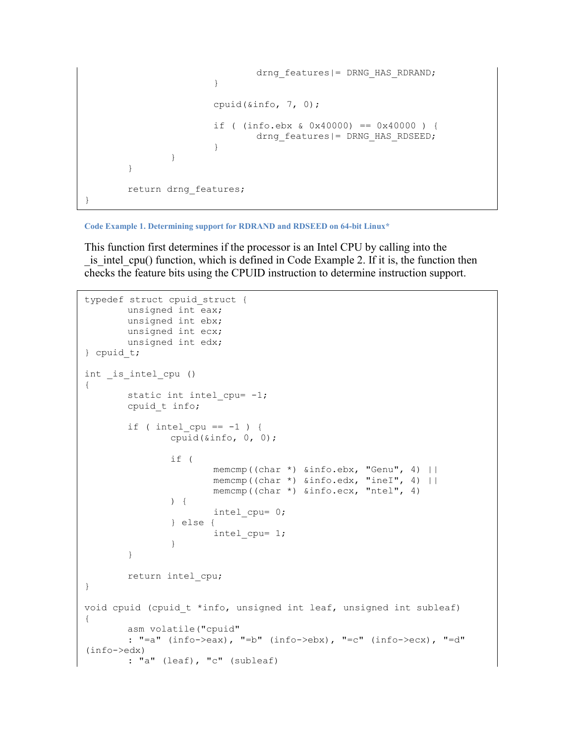```
drng features|= DRNG HAS RDRAND;
                        }
                        cpuid(&info, 7, 0);
                        if ( (info.ebx & 0x40000) == 0x40000 ) {
                                drng features|= DRNG HAS RDSEED;
                        }
                } 
        }
       return drng features;
}
```
**Code Example 1. Determining support for RDRAND and RDSEED on 64-bit Linux\***

This function first determines if the processor is an Intel CPU by calling into the is intel cpu() function, which is defined in [Code Example 2.](#page-20-1) If it is, the function then checks the feature bits using the CPUID instruction to determine instruction support.

```
typedef struct cpuid_struct {
       unsigned int eax;
       unsigned int ebx;
       unsigned int ecx;
       unsigned int edx;
} cpuid_t;
int _is_intel_cpu ()
{
        static int intel cpu= -1;
       cpuid_t info;
       if ( intel cpu == -1 ) {
                cpuid(&info, 0, 0);
                if (
                       memcmp((char *) &info.ebx, "Genu", 4) ||
                       memcmp((char *) &info.edx, "ineI", 4) ||
                       memcmp((char *) &info.ecx, "ntel", 4)
                ) {
                       intel_cpu= 0;
                } else {
                       intel_cpu= 1;
                }
        }
       return intel_cpu;
}
void cpuid (cpuid t *info, unsigned int leaf, unsigned int subleaf)
{
       asm volatile("cpuid"
        : "=a" (info->eax), "=b" (info->ebx), "=c" (info->ecx), "=d" 
(info->edx)
        : "a" (leaf), "c" (subleaf)
```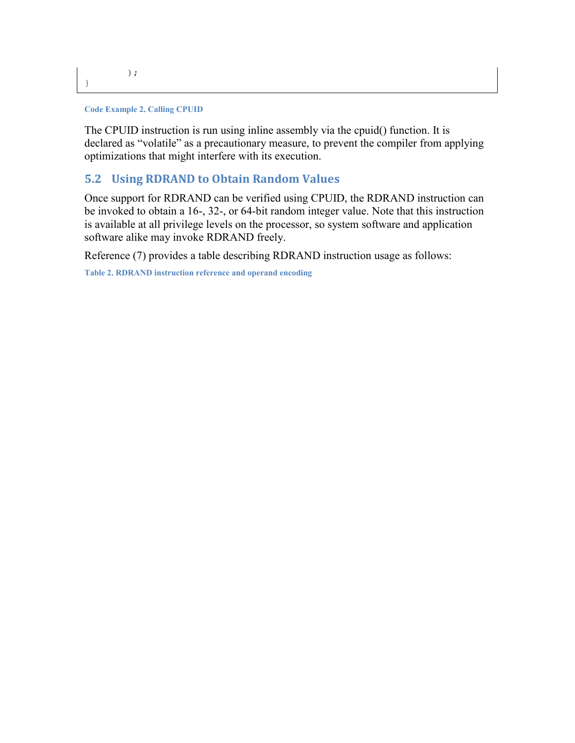}

#### <span id="page-20-1"></span>**Code Example 2. Calling CPUID**

The CPUID instruction is run using inline assembly via the cpuid() function. It is declared as "volatile" as a precautionary measure, to prevent the compiler from applying optimizations that might interfere with its execution.

#### <span id="page-20-0"></span>**5.2 Using RDRAND to Obtain Random Values**

Once support for RDRAND can be verified using CPUID, the RDRAND instruction can be invoked to obtain a 16-, 32-, or 64-bit random integer value. Note that this instruction is available at all privilege levels on the processor, so system software and application software alike may invoke RDRAND freely.

Reference (7) provides a table describing RDRAND instruction usage as follows:

**Table 2. RDRAND instruction reference and operand encoding**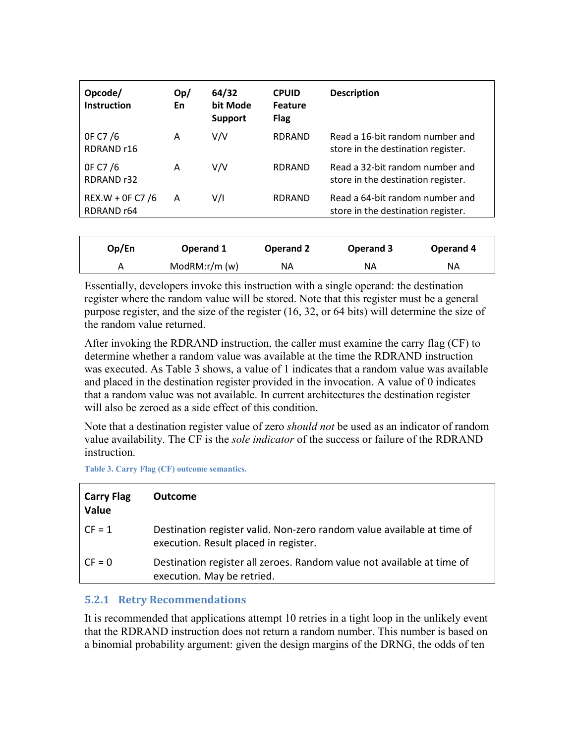| Opcode/<br><b>Instruction</b>             | Op/<br>En | 64/32<br>bit Mode<br><b>Support</b> | <b>CPUID</b><br><b>Feature</b><br><b>Flag</b> | <b>Description</b>                                                    |
|-------------------------------------------|-----------|-------------------------------------|-----------------------------------------------|-----------------------------------------------------------------------|
| OF C7/6<br>RDRAND <sub>r16</sub>          | A         | V/V                                 | <b>RDRAND</b>                                 | Read a 16-bit random number and<br>store in the destination register. |
| OF C7/6<br>RDRAND <sub>r32</sub>          | A         | V/V                                 | <b>RDRAND</b>                                 | Read a 32-bit random number and<br>store in the destination register. |
| REX.W + OF C7 /6<br>RDRAND <sub>r64</sub> | A         | V/I                                 | <b>RDRAND</b>                                 | Read a 64-bit random number and<br>store in the destination register. |

| Op/En | Operand 1     | Operand 2 | Operand 3 | Operand 4 |  |
|-------|---------------|-----------|-----------|-----------|--|
|       | ModRM: r/m(w) | NA.       | ΝA        | ΝA        |  |

Essentially, developers invoke this instruction with a single operand: the destination register where the random value will be stored. Note that this register must be a general purpose register, and the size of the register (16, 32, or 64 bits) will determine the size of the random value returned.

After invoking the RDRAND instruction, the caller must examine the carry flag (CF) to determine whether a random value was available at the time the RDRAND instruction was executed. As Table 3 shows, a value of 1 indicates that a random value was available and placed in the destination register provided in the invocation. A value of 0 indicates that a random value was not available. In current architectures the destination register will also be zeroed as a side effect of this condition.

Note that a destination register value of zero *should not* be used as an indicator of random value availability. The CF is the *sole indicator* of the success or failure of the RDRAND instruction.

**Table 3. Carry Flag (CF) outcome semantics.**

| <b>Carry Flag</b><br>Value | <b>Outcome</b>                                                                                                  |
|----------------------------|-----------------------------------------------------------------------------------------------------------------|
| $CF = 1$                   | Destination register valid. Non-zero random value available at time of<br>execution. Result placed in register. |
| $CF = 0$                   | Destination register all zeroes. Random value not available at time of<br>execution. May be retried.            |

#### <span id="page-21-0"></span>**5.2.1 Retry Recommendations**

It is recommended that applications attempt 10 retries in a tight loop in the unlikely event that the RDRAND instruction does not return a random number. This number is based on a binomial probability argument: given the design margins of the DRNG, the odds of ten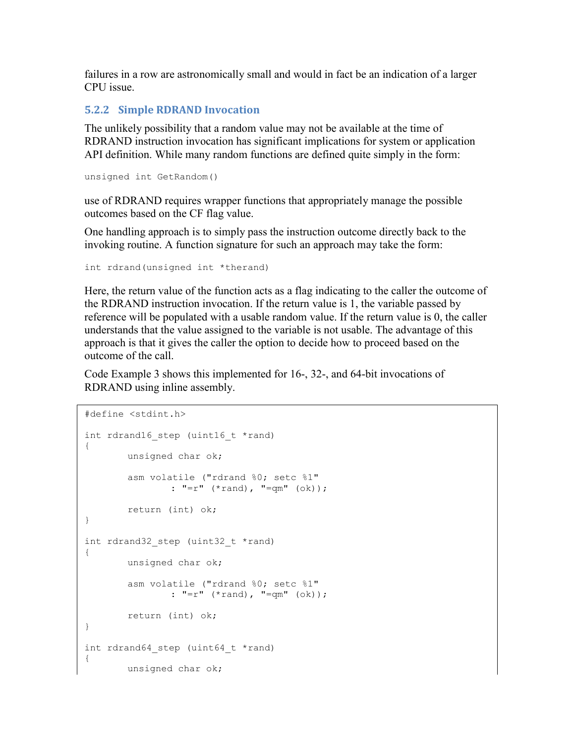failures in a row are astronomically small and would in fact be an indication of a larger CPU issue.

#### <span id="page-22-0"></span>**5.2.2 Simple RDRAND Invocation**

The unlikely possibility that a random value may not be available at the time of RDRAND instruction invocation has significant implications for system or application API definition. While many random functions are defined quite simply in the form:

```
unsigned int GetRandom()
```
use of RDRAND requires wrapper functions that appropriately manage the possible outcomes based on the CF flag value.

One handling approach is to simply pass the instruction outcome directly back to the invoking routine. A function signature for such an approach may take the form:

```
int rdrand(unsigned int *therand)
```
Here, the return value of the function acts as a flag indicating to the caller the outcome of the RDRAND instruction invocation. If the return value is 1, the variable passed by reference will be populated with a usable random value. If the return value is 0, the caller understands that the value assigned to the variable is not usable. The advantage of this approach is that it gives the caller the option to decide how to proceed based on the outcome of the call.

[Code Example 3](#page-23-1) shows this implemented for 16-, 32-, and 64-bit invocations of RDRAND using inline assembly.

```
#define <stdint.h>
int rdrand16 step (uint16 t *rand)
{
       unsigned char ok;
       asm volatile ("rdrand %0; setc %1"
               : "=r" (*rand), "=qm" (ok));
       return (int) ok;
}
int rdrand32 step (uint32 t *rand)
{
       unsigned char ok;
       asm volatile ("rdrand %0; setc %1"
               : "=r" (*rand), "=qm" (ok));
       return (int) ok;
}
int rdrand64 step (uint64 t *rand)
{
       unsigned char ok;
```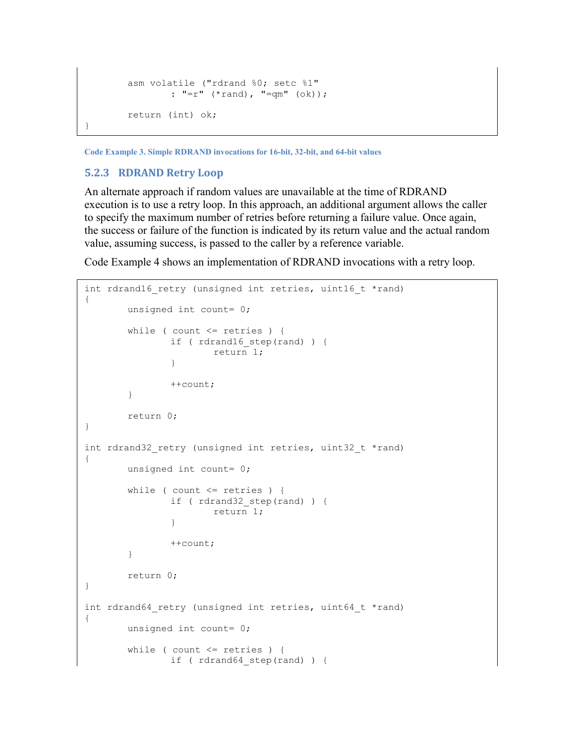```
asm volatile ("rdrand %0; setc %1"
       : "=r" (*rand), "=qm" (ok));
return (int) ok;
```
<span id="page-23-1"></span>**Code Example 3. Simple RDRAND invocations for 16-bit, 32-bit, and 64-bit values**

#### <span id="page-23-0"></span>**5.2.3 RDRAND Retry Loop**

}

An alternate approach if random values are unavailable at the time of RDRAND execution is to use a retry loop. In this approach, an additional argument allows the caller to specify the maximum number of retries before returning a failure value. Once again, the success or failure of the function is indicated by its return value and the actual random value, assuming success, is passed to the caller by a reference variable.

[Code Example 4](#page-24-1) shows an implementation of RDRAND invocations with a retry loop.

```
int rdrand16 retry (unsigned int retries, uint16 t *rand)
{
       unsigned int count= 0;
       while ( count \le retries ) {
               if ( rdrand16 step(rand) ) {
                       return 1;
                }
               ++count;
        }
       return 0;
}
int rdrand32 retry (unsigned int retries, uint32 t *rand)
{
       unsigned int count= 0;
       while ( count \leq retries ) {
               if ( rdrand32_step(rand) ) {
                       return 1;
                }
               ++count;
        }
       return 0;
}
int rdrand64 retry (unsigned int retries, uint64 t *rand)
{
       unsigned int count= 0;
       while ( count <= retries ) {
               if ( rdrand64_step(rand) ) {
```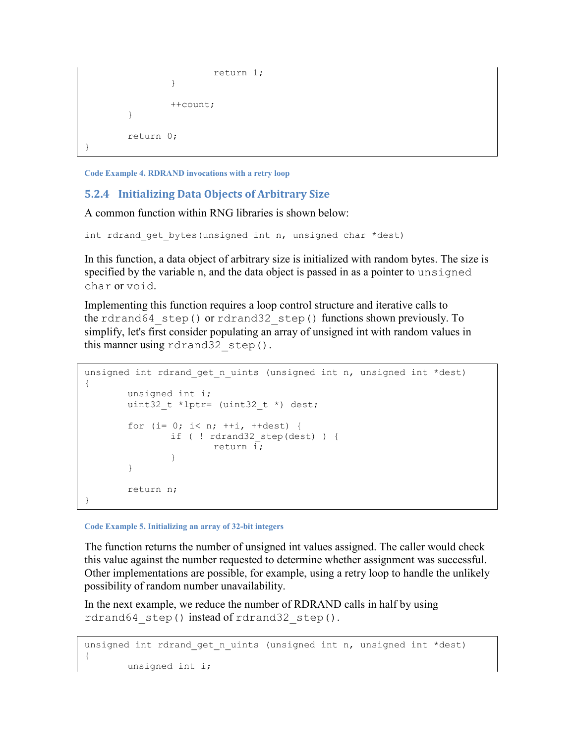```
return 1;
                  }
                  ++count;
         }
         return 0;
}
```
<span id="page-24-1"></span>**Code Example 4. RDRAND invocations with a retry loop**

#### <span id="page-24-0"></span>**5.2.4 Initializing Data Objects of Arbitrary Size**

A common function within RNG libraries is shown below:

int rdrand get bytes(unsigned int n, unsigned char \*dest)

In this function, a data object of arbitrary size is initialized with random bytes. The size is specified by the variable n, and the data object is passed in as a pointer to unsigned char or void.

Implementing this function requires a loop control structure and iterative calls to the rdrand64 step() or rdrand32 step() functions shown previously. To simplify, let's first consider populating an array of unsigned int with random values in this manner using rdrand32 step().

```
unsigned int rdrand get n uints (unsigned int n, unsigned int *dest)
{
       unsigned int i;
       uint32 t *lptr= (uint32 t *) dest;
       for (i= 0; i< n; ++i, ++dest) {
               if ( ! rdrand32_step(dest) ) {
                       return i;
               }
        }
       return n;
}
```
**Code Example 5. Initializing an array of 32-bit integers**

The function returns the number of unsigned int values assigned. The caller would check this value against the number requested to determine whether assignment was successful. Other implementations are possible, for example, using a retry loop to handle the unlikely possibility of random number unavailability.

In the next example, we reduce the number of RDRAND calls in half by using rdrand64 step() instead of rdrand32 step().

```
unsigned int rdrand_get_n_uints (unsigned int n, unsigned int *dest)
{
       unsigned int i;
```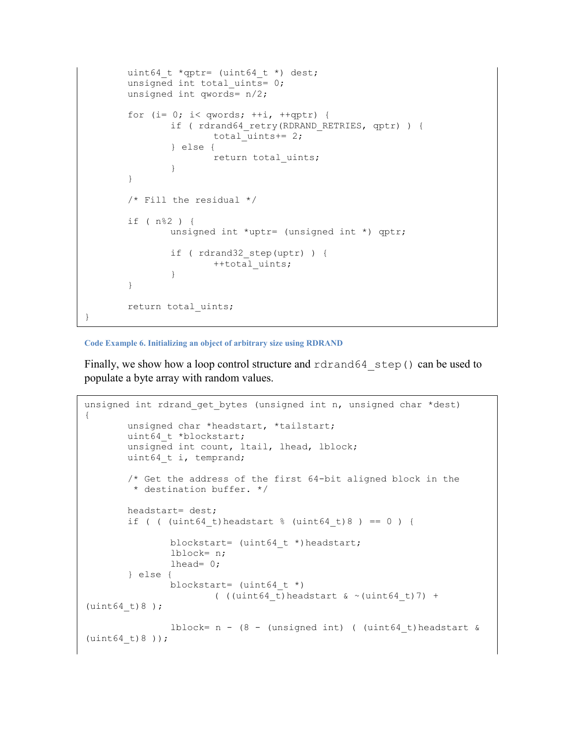```
uint64 t *qptr= (uint64 t *) dest;
unsigned int total uints= 0;
unsigned int qwords= n/2;
for (i= 0; i< qwords; ++i, ++qptr) {
        if ( rdrand64 retry(RDRAND RETRIES, qptr) ) {
               total_uints+= 2;
        } else {
               return total uints;
        }
}
/* Fill the residual */
if ( n%2 ) {
        unsigned int *uptr= (unsigned int *) qptr;
        if ( rdrand32_step(uptr) ) {
               ++total uints;
        }
}
return total uints;
```
#### **Code Example 6. Initializing an object of arbitrary size using RDRAND**

}

Finally, we show how a loop control structure and rdrand64 step() can be used to populate a byte array with random values.

```
unsigned int rdrand_get_bytes (unsigned int n, unsigned char *dest)
{
       unsigned char *headstart, *tailstart;
       uint64 t *blockstart;
       unsigned int count, ltail, lhead, lblock;
       uint64 t i, temprand;
       /* Get the address of the first 64-bit aligned block in the
        * destination buffer. */
       headstart= dest;
       if ( ( (uint64 t)headstart % ( (uint64 t)8 ) == 0 ) {
               blockstart= (uint64 t *)headstart;
               lblock= n;
               lhead= 0;
       } else {
               blockstart= (uint64_t *) 
                       ( ((uint64 t)headstart \& ~(uint64 t)7) +
(uint64t)8);
               lblock= n - (8 - (unsigned int) ( (uint64 t)headstart &
(uint64 t)8);
```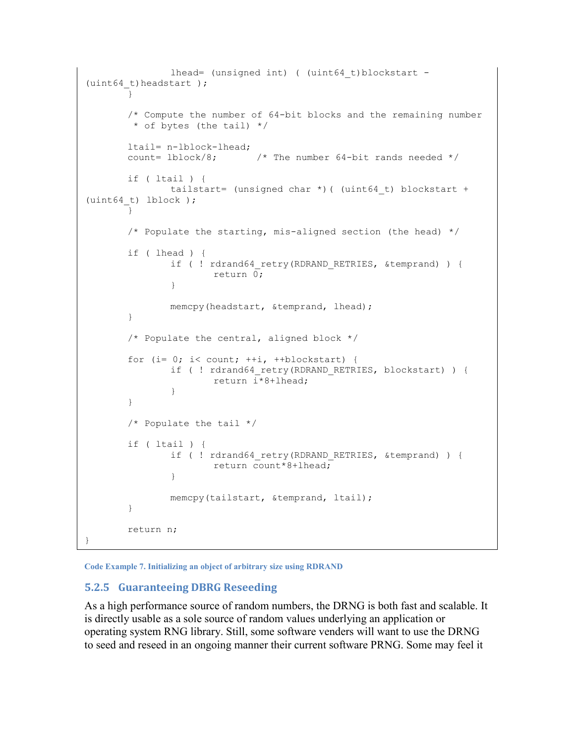```
lhead= (unsigned int) ( (uint64 t)blockstart -
(uint64 t)headstart );
        }
       /* Compute the number of 64-bit blocks and the remaining number
        * of bytes (the tail) */
       ltail= n-lblock-lhead;<br>count= lblock/8;
                              /* The number 64-bit rands needed */if ( ltail ) {
               tailstart= (unsigned char *) ( (uint64 t) blockstart +
(uint64t) lblock);
        }
       /* Populate the starting, mis-aligned section (the head) */
       if ( lhead ) {
               if ( ! rdrand64 retry(RDRAND RETRIES, &temprand) ) {
                       return 0;
                }
               memcpy(headstart, &temprand, lhead);
        }
        /* Populate the central, aligned block */
       for (i= 0; i< count; ++i, ++blockstart) {
                if ( ! rdrand64 retry(RDRAND RETRIES, blockstart) ) {
                       return \bar{i}*8+lhead;
                }
        }
       /* Populate the tail */
       if ( ltail ) {
                if ( ! rdrand64 retry(RDRAND RETRIES, &temprand) ) {
                       return count*8+lhead;
                }
               memcpy(tailstart, &temprand, ltail);
        }
       return n;
}
```
**Code Example 7. Initializing an object of arbitrary size using RDRAND**

#### <span id="page-26-0"></span>**5.2.5 Guaranteeing DBRG Reseeding**

As a high performance source of random numbers, the DRNG is both fast and scalable. It is directly usable as a sole source of random values underlying an application or operating system RNG library. Still, some software venders will want to use the DRNG to seed and reseed in an ongoing manner their current software PRNG. Some may feel it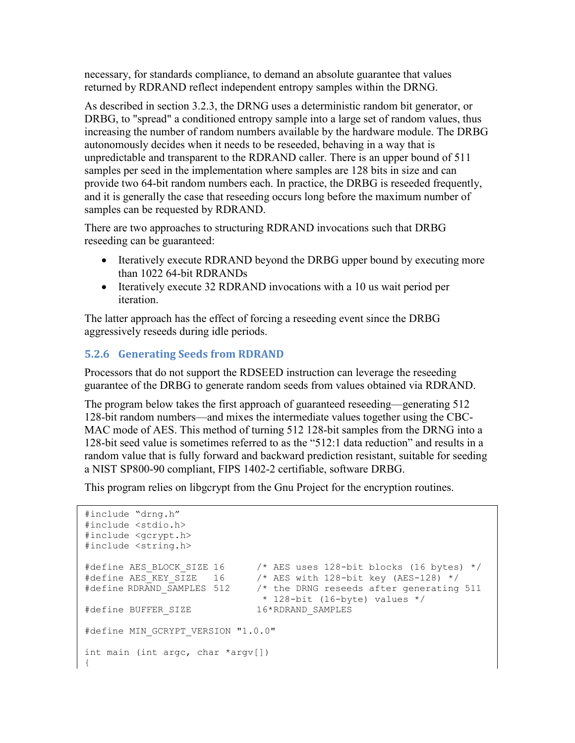necessary, for standards compliance, to demand an absolute guarantee that values returned by RDRAND reflect independent entropy samples within the DRNG.

As described in section 3.2.3, the DRNG uses a deterministic random bit generator, or DRBG, to "spread" a conditioned entropy sample into a large set of random values, thus increasing the number of random numbers available by the hardware module. The DRBG autonomously decides when it needs to be reseeded, behaving in a way that is unpredictable and transparent to the RDRAND caller. There is an upper bound of 511 samples per seed in the implementation where samples are 128 bits in size and can provide two 64-bit random numbers each. In practice, the DRBG is reseeded frequently, and it is generally the case that reseeding occurs long before the maximum number of samples can be requested by RDRAND.

There are two approaches to structuring RDRAND invocations such that DRBG reseeding can be guaranteed:

- Iteratively execute RDRAND beyond the DRBG upper bound by executing more than 1022 64-bit RDRANDs
- Iteratively execute 32 RDRAND invocations with a 10 us wait period per iteration.

The latter approach has the effect of forcing a reseeding event since the DRBG aggressively reseeds during idle periods.

#### <span id="page-27-0"></span>**5.2.6 Generating Seeds from RDRAND**

Processors that do not support the RDSEED instruction can leverage the reseeding guarantee of the DRBG to generate random seeds from values obtained via RDRAND.

The program below takes the first approach of guaranteed reseeding—generating 512 128-bit random numbers—and mixes the intermediate values together using the CBC-MAC mode of AES. This method of turning 512 128-bit samples from the DRNG into a 128-bit seed value is sometimes referred to as the "512:1 data reduction" and results in a random value that is fully forward and backward prediction resistant, suitable for seeding a NIST SP800-90 compliant, FIPS 1402-2 certifiable, software DRBG.

This program relies on libgcrypt from the Gnu Project for the encryption routines.

```
#include "drng.h"
#include <stdio.h>
#include <gcrypt.h>
#include <string.h>
#define AES_BLOCK_SIZE 16 /* AES uses 128-bit blocks (16 bytes) */
#define AES_KEY_SIZE 16 /* AES with 128-bit key (AES-128) */
#define RDRAND_SAMPLES 512 /* the DRNG reseeds after generating 511
                            * 128-bit (16-byte) values */
#define BUFFER_SIZE 16*RDRAND_SAMPLES
#define MIN GCRYPT VERSION "1.0.0"
int main (int argc, char *argv[])
{
```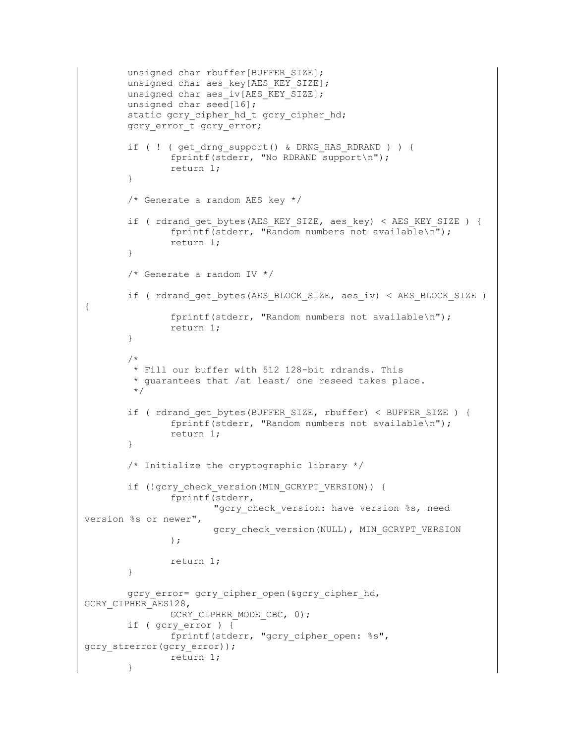```
unsigned char rbuffer[BUFFER SIZE];
        unsigned char aes key[AES KEY SIZE];
        unsigned char aes iv[AES KEY SIZE];
        unsigned char seed[16];
        static gcry cipher hd t gcry cipher hd;
        gcry_error_t gcry_error;
        if ( ! ( get drng support () & DRNG HAS RDRAND ) ) {
                fprintf(stderr, "No RDRAND support\n");
                return 1;
        }
        /* Generate a random AES key */
        if ( rdrand_get_bytes(AES_KEY_SIZE, aes_key) < AES_KEY_SIZE ) {
                fprintf(stderr, "Random numbers not available\n");
                return 1;
        }
        /* Generate a random IV */
        if ( rdrand_get_bytes(AES_BLOCK_SIZE, aes_iv) < AES_BLOCK_SIZE ) 
                fprintf(stderr, "Random numbers not available\n");
                return 1;
        }
        /*
         * Fill our buffer with 512 128-bit rdrands. This 
         * guarantees that /at least/ one reseed takes place.
         */
        if ( rdrand get bytes(BUFFER SIZE, rbuffer) < BUFFER SIZE ) {
                fprintf(stderr, "Random numbers not available\n");
                return 1;
        }
        /* Initialize the cryptographic library */
        if (!gcry_check_version(MIN_GCRYPT_VERSION)) {
                fprintf(stderr,
                        "gcry check version: have version %s, need
version %s or newer",
                       gcry_check_version(NULL), MIN_GCRYPT_VERSION
                );
                return 1;
        }
        gcry error= gcry cipher open(&gcry cipher hd,
GCRY_CIPHER_AES128,
               GCRY CIPHER MODE CBC, 0);
        if ( gcry error ) {
               fprintf(stderr, "gcry_cipher_open: %s", 
gcry_strerror(gcry_error));
               return 1;
        }
```
{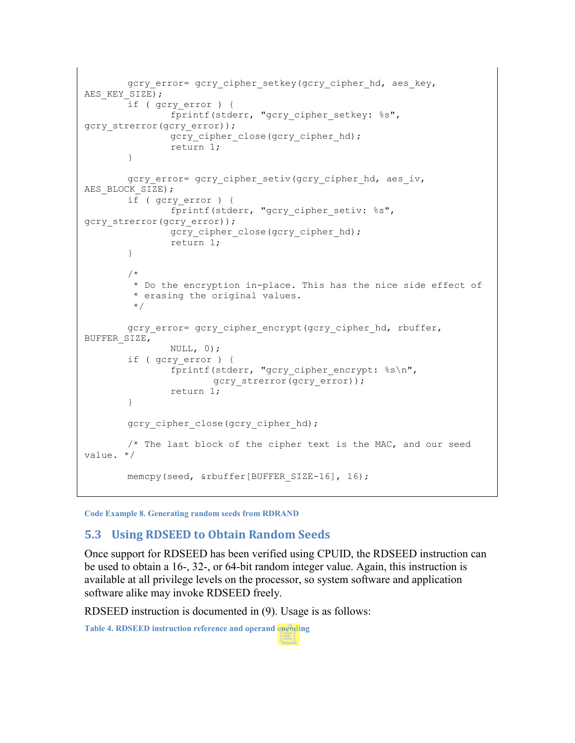```
gcry error= gcry cipher setkey(gcry cipher hd, aes key,
AES KEY SIZE);
        if ( gcry_error ) { 
                fprintf(stderr, "gcry_cipher_setkey: %s", 
gcry strerror(gcry error));
               gcry cipher close(gcry cipher hd);
               return 1;
        }
        gcry error= gcry cipher setiv(gcry cipher hd, aes iv,
AES_BLOCK_SIZE);
        if ( gcry_error ) { 
                fprintf(stderr, "gcry cipher setiv: %s",
gcry_strerror(gcry_error));
               gcry_cipher_close(gcry_cipher_hd);
                return 1;
        }
        /* 
         * Do the encryption in-place. This has the nice side effect of 
         * erasing the original values.
         */
        gcry error= gcry cipher encrypt(gcry cipher hd, rbuffer,
BUFFER_SIZE,
                NULL, 0);
        if ( gcry_error ) {
                fprintf(stderr, "gcry cipher encrypt: %s\n",
                       gcry strerror(gcry error));
                return 1;
        }
        gcry cipher close(gcry cipher hd);
        /* The last block of the cipher text is the MAC, and our seed 
value. */
        memcpy(seed, &rbuffer[BUFFER SIZE-16], 16);
```
**Code Example 8. Generating random seeds from RDRAND**

#### <span id="page-29-0"></span>**5.3 Using RDSEED to Obtain Random Seeds**

Once support for RDSEED has been verified using CPUID, the RDSEED instruction can be used to obtain a 16-, 32-, or 64-bit random integer value. Again, this instruction is available at all privilege levels on the processor, so system software and application software alike may invoke RDSEED freely.

RDSEED instruction is documented in (9). Usage is as follows:

**Table 4. RDSEED instruction reference and operand encoding**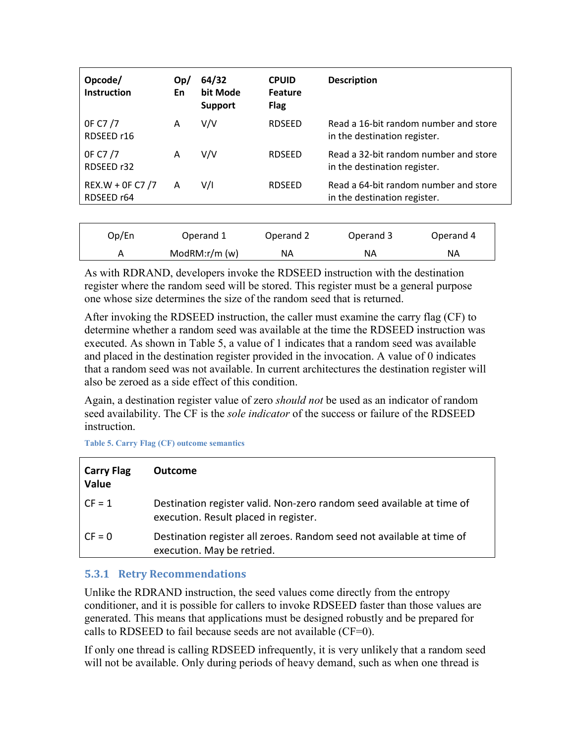| Opcode/<br><b>Instruction</b>  | Op/<br>En    | 64/32<br>bit Mode<br><b>Support</b> | <b>CPUID</b><br><b>Feature</b><br><b>Flag</b> | <b>Description</b>                                                    |
|--------------------------------|--------------|-------------------------------------|-----------------------------------------------|-----------------------------------------------------------------------|
| OF C7/7<br>RDSEED r16          | Α            | V/V                                 | <b>RDSEED</b>                                 | Read a 16-bit random number and store<br>in the destination register. |
| OF C7/7<br>RDSEED r32          | Α            | V/V                                 | <b>RDSEED</b>                                 | Read a 32-bit random number and store<br>in the destination register. |
| REX.W + 0F C7 /7<br>RDSEED r64 | $\mathsf{A}$ | V/I                                 | <b>RDSEED</b>                                 | Read a 64-bit random number and store<br>in the destination register. |
|                                |              |                                     |                                               |                                                                       |

| Op/En | Operand 1       | Operand 2 | Operand 3 | Operand 4 |
|-------|-----------------|-----------|-----------|-----------|
|       | ModRM: $r/m(w)$ | NА        | ΝA        | ΝA        |

As with RDRAND, developers invoke the RDSEED instruction with the destination register where the random seed will be stored. This register must be a general purpose one whose size determines the size of the random seed that is returned.

After invoking the RDSEED instruction, the caller must examine the carry flag (CF) to determine whether a random seed was available at the time the RDSEED instruction was executed. As shown in Table 5, a value of 1 indicates that a random seed was available and placed in the destination register provided in the invocation. A value of 0 indicates that a random seed was not available. In current architectures the destination register will also be zeroed as a side effect of this condition.

Again, a destination register value of zero *should not* be used as an indicator of random seed availability. The CF is the *sole indicator* of the success or failure of the RDSEED instruction.

**Table 5. Carry Flag (CF) outcome semantics**

| <b>Carry Flag</b><br><b>Value</b> | <b>Outcome</b>                                                                                                 |
|-----------------------------------|----------------------------------------------------------------------------------------------------------------|
| $CF = 1$                          | Destination register valid. Non-zero random seed available at time of<br>execution. Result placed in register. |
| $CF = 0$                          | Destination register all zeroes. Random seed not available at time of<br>execution. May be retried.            |

#### <span id="page-30-0"></span>**5.3.1 Retry Recommendations**

Unlike the RDRAND instruction, the seed values come directly from the entropy conditioner, and it is possible for callers to invoke RDSEED faster than those values are generated. This means that applications must be designed robustly and be prepared for calls to RDSEED to fail because seeds are not available  $(CF=0)$ .

If only one thread is calling RDSEED infrequently, it is very unlikely that a random seed will not be available. Only during periods of heavy demand, such as when one thread is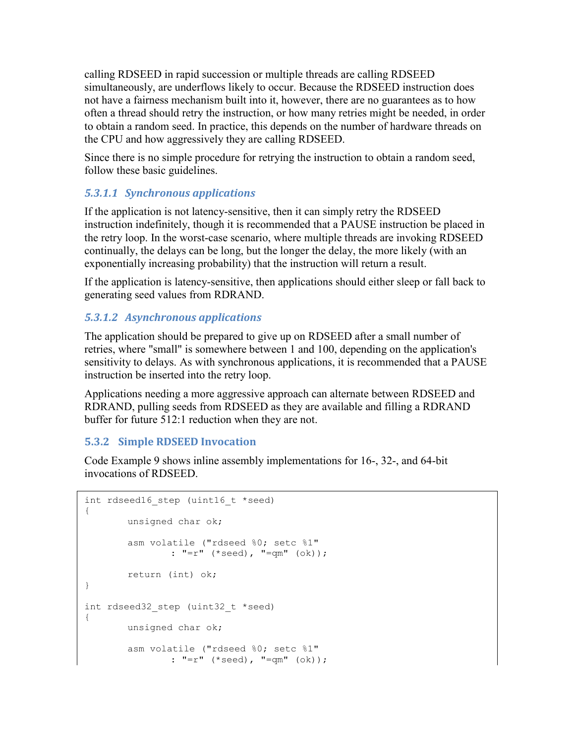calling RDSEED in rapid succession or multiple threads are calling RDSEED simultaneously, are underflows likely to occur. Because the RDSEED instruction does not have a fairness mechanism built into it, however, there are no guarantees as to how often a thread should retry the instruction, or how many retries might be needed, in order to obtain a random seed. In practice, this depends on the number of hardware threads on the CPU and how aggressively they are calling RDSEED.

Since there is no simple procedure for retrying the instruction to obtain a random seed, follow these basic guidelines.

#### *5.3.1.1 Synchronous applications*

If the application is not latency-sensitive, then it can simply retry the RDSEED instruction indefinitely, though it is recommended that a PAUSE instruction be placed in the retry loop. In the worst-case scenario, where multiple threads are invoking RDSEED continually, the delays can be long, but the longer the delay, the more likely (with an exponentially increasing probability) that the instruction will return a result.

If the application is latency-sensitive, then applications should either sleep or fall back to generating seed values from RDRAND.

#### *5.3.1.2 Asynchronous applications*

The application should be prepared to give up on RDSEED after a small number of retries, where "small" is somewhere between 1 and 100, depending on the application's sensitivity to delays. As with synchronous applications, it is recommended that a PAUSE instruction be inserted into the retry loop.

Applications needing a more aggressive approach can alternate between RDSEED and RDRAND, pulling seeds from RDSEED as they are available and filling a RDRAND buffer for future 512:1 reduction when they are not.

#### <span id="page-31-0"></span>**5.3.2 Simple RDSEED Invocation**

[Code Example 9](#page-23-1) shows inline assembly implementations for 16-, 32-, and 64-bit invocations of RDSEED.

```
int rdseed16 step (uint16 t *seed)
{
       unsigned char ok;
       asm volatile ("rdseed %0; setc %1"
               : "=r" (*seed), "=qm" (ok));
       return (int) ok;
}
int rdseed32 step (uint32 t *seed)
{
       unsigned char ok;
       asm volatile ("rdseed %0; setc %1"
               : "=r" (*seed), "=qm" (ok));
```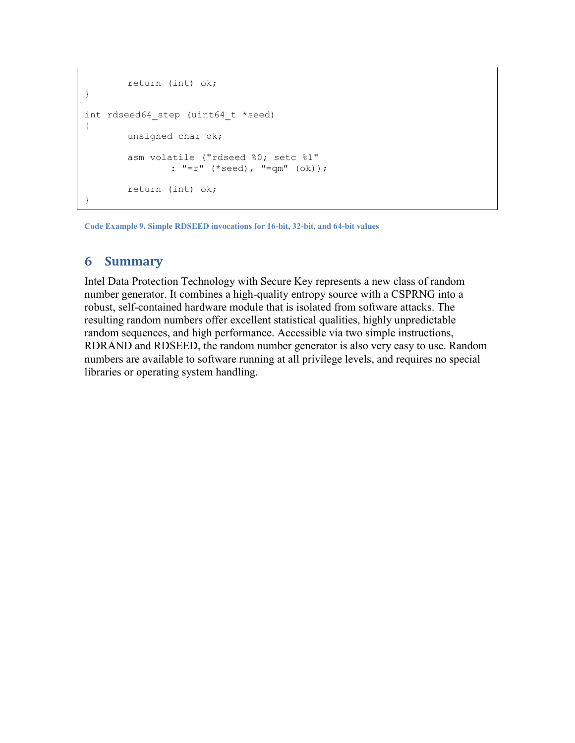```
return (int) ok;
}
int rdseed64 step (uint64 t *seed)
{
       unsigned char ok;
        asm volatile ("rdseed %0; setc %1"
               : "=r" (*seed), "=qm" (ok));
        return (int) ok;
}
```
**Code Example 9. Simple RDSEED invocations for 16-bit, 32-bit, and 64-bit values**

#### **6 Summary**

Intel Data Protection Technology with Secure Key represents a new class of random number generator. It combines a high-quality entropy source with a CSPRNG into a robust, self-contained hardware module that is isolated from software attacks. The resulting random numbers offer excellent statistical qualities, highly unpredictable random sequences, and high performance. Accessible via two simple instructions, RDRAND and RDSEED, the random number generator is also very easy to use. Random numbers are available to software running at all privilege levels, and requires no special libraries or operating system handling.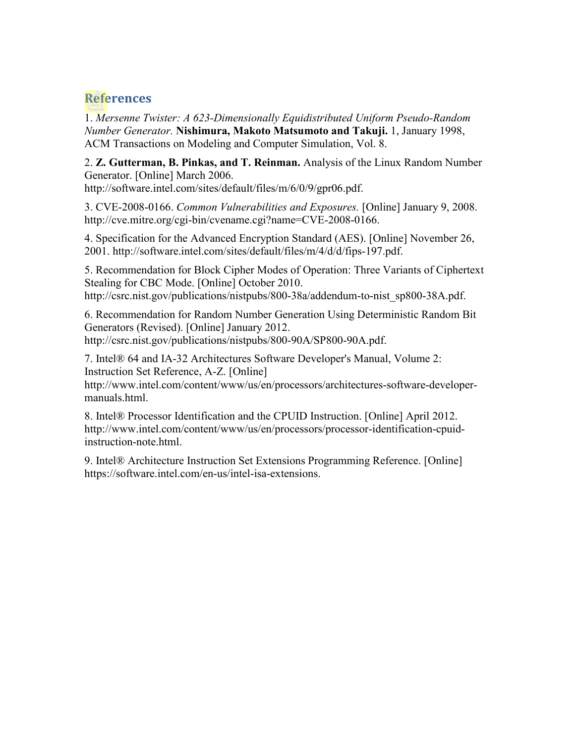#### <span id="page-33-0"></span>**References**

1. *Mersenne Twister: A 623-Dimensionally Equidistributed Uniform Pseudo-Random Number Generator.* **Nishimura, Makoto Matsumoto and Takuji.** 1, January 1998, ACM Transactions on Modeling and Computer Simulation, Vol. 8.

2. **Z. Gutterman, B. Pinkas, and T. Reinman.** Analysis of the Linux Random Number Generator. [Online] March 2006.

http://software.intel.com/sites/default/files/m/6/0/9/gpr06.pdf.

3. CVE-2008-0166. *Common Vulnerabilities and Exposures.* [Online] January 9, 2008. http://cve.mitre.org/cgi-bin/cvename.cgi?name=CVE-2008-0166.

4. Specification for the Advanced Encryption Standard (AES). [Online] November 26, 2001. http://software.intel.com/sites/default/files/m/4/d/d/fips-197.pdf.

5. Recommendation for Block Cipher Modes of Operation: Three Variants of Ciphertext Stealing for CBC Mode. [Online] October 2010. http://csrc.nist.gov/publications/nistpubs/800-38a/addendum-to-nist\_sp800-38A.pdf.

6. Recommendation for Random Number Generation Using Deterministic Random Bit Generators (Revised). [Online] January 2012. http://csrc.nist.gov/publications/nistpubs/800-90A/SP800-90A.pdf.

7. Intel® 64 and IA-32 Architectures Software Developer's Manual, Volume 2: Instruction Set Reference, A-Z. [Online]

http://www.intel.com/content/www/us/en/processors/architectures-software-developermanuals.html.

8. Intel® Processor Identification and the CPUID Instruction. [Online] April 2012. http://www.intel.com/content/www/us/en/processors/processor-identification-cpuidinstruction-note.html.

9. Intel® Architecture Instruction Set Extensions Programming Reference. [Online] https://software.intel.com/en-us/intel-isa-extensions.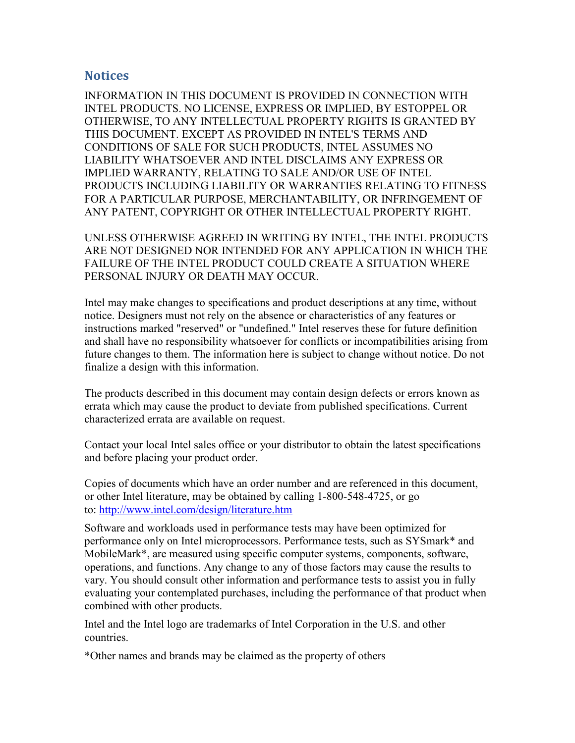#### <span id="page-34-0"></span>**Notices**

INFORMATION IN THIS DOCUMENT IS PROVIDED IN CONNECTION WITH INTEL PRODUCTS. NO LICENSE, EXPRESS OR IMPLIED, BY ESTOPPEL OR OTHERWISE, TO ANY INTELLECTUAL PROPERTY RIGHTS IS GRANTED BY THIS DOCUMENT. EXCEPT AS PROVIDED IN INTEL'S TERMS AND CONDITIONS OF SALE FOR SUCH PRODUCTS, INTEL ASSUMES NO LIABILITY WHATSOEVER AND INTEL DISCLAIMS ANY EXPRESS OR IMPLIED WARRANTY, RELATING TO SALE AND/OR USE OF INTEL PRODUCTS INCLUDING LIABILITY OR WARRANTIES RELATING TO FITNESS FOR A PARTICULAR PURPOSE, MERCHANTABILITY, OR INFRINGEMENT OF ANY PATENT, COPYRIGHT OR OTHER INTELLECTUAL PROPERTY RIGHT.

UNLESS OTHERWISE AGREED IN WRITING BY INTEL, THE INTEL PRODUCTS ARE NOT DESIGNED NOR INTENDED FOR ANY APPLICATION IN WHICH THE FAILURE OF THE INTEL PRODUCT COULD CREATE A SITUATION WHERE PERSONAL INJURY OR DEATH MAY OCCUR.

Intel may make changes to specifications and product descriptions at any time, without notice. Designers must not rely on the absence or characteristics of any features or instructions marked "reserved" or "undefined." Intel reserves these for future definition and shall have no responsibility whatsoever for conflicts or incompatibilities arising from future changes to them. The information here is subject to change without notice. Do not finalize a design with this information.

The products described in this document may contain design defects or errors known as errata which may cause the product to deviate from published specifications. Current characterized errata are available on request.

Contact your local Intel sales office or your distributor to obtain the latest specifications and before placing your product order.

Copies of documents which have an order number and are referenced in this document, or other Intel literature, may be obtained by calling 1-800-548-4725, or go to: <http://www.intel.com/design/literature.htm>

Software and workloads used in performance tests may have been optimized for performance only on Intel microprocessors. Performance tests, such as SYSmark\* and MobileMark\*, are measured using specific computer systems, components, software, operations, and functions. Any change to any of those factors may cause the results to vary. You should consult other information and performance tests to assist you in fully evaluating your contemplated purchases, including the performance of that product when combined with other products.

Intel and the Intel logo are trademarks of Intel Corporation in the U.S. and other countries.

\*Other names and brands may be claimed as the property of others